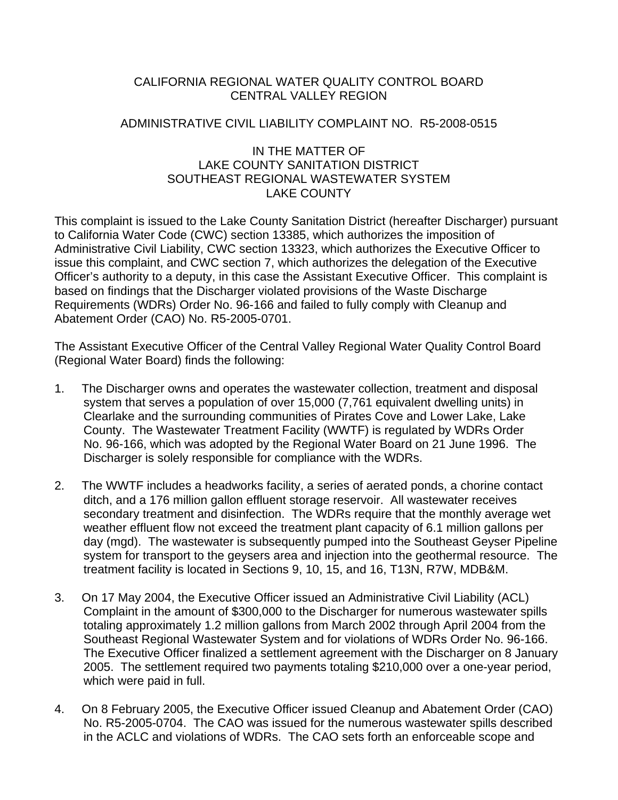## CALIFORNIA REGIONAL WATER QUALITY CONTROL BOARD CENTRAL VALLEY REGION

### ADMINISTRATIVE CIVIL LIABILITY COMPLAINT NO. R5-2008-0515

### IN THE MATTER OF LAKE COUNTY SANITATION DISTRICT SOUTHEAST REGIONAL WASTEWATER SYSTEM LAKE COUNTY

This complaint is issued to the Lake County Sanitation District (hereafter Discharger) pursuant to California Water Code (CWC) section 13385, which authorizes the imposition of Administrative Civil Liability, CWC section 13323, which authorizes the Executive Officer to issue this complaint, and CWC section 7, which authorizes the delegation of the Executive Officer's authority to a deputy, in this case the Assistant Executive Officer. This complaint is based on findings that the Discharger violated provisions of the Waste Discharge Requirements (WDRs) Order No. 96-166 and failed to fully comply with Cleanup and Abatement Order (CAO) No. R5-2005-0701.

The Assistant Executive Officer of the Central Valley Regional Water Quality Control Board (Regional Water Board) finds the following:

- 1. The Discharger owns and operates the wastewater collection, treatment and disposal system that serves a population of over 15,000 (7,761 equivalent dwelling units) in Clearlake and the surrounding communities of Pirates Cove and Lower Lake, Lake County. The Wastewater Treatment Facility (WWTF) is regulated by WDRs Order No. 96-166, which was adopted by the Regional Water Board on 21 June 1996. The Discharger is solely responsible for compliance with the WDRs.
- 2. The WWTF includes a headworks facility, a series of aerated ponds, a chorine contact ditch, and a 176 million gallon effluent storage reservoir. All wastewater receives secondary treatment and disinfection. The WDRs require that the monthly average wet weather effluent flow not exceed the treatment plant capacity of 6.1 million gallons per day (mgd). The wastewater is subsequently pumped into the Southeast Geyser Pipeline system for transport to the geysers area and injection into the geothermal resource. The treatment facility is located in Sections 9, 10, 15, and 16, T13N, R7W, MDB&M.
- 3. On 17 May 2004, the Executive Officer issued an Administrative Civil Liability (ACL) Complaint in the amount of \$300,000 to the Discharger for numerous wastewater spills totaling approximately 1.2 million gallons from March 2002 through April 2004 from the Southeast Regional Wastewater System and for violations of WDRs Order No. 96-166. The Executive Officer finalized a settlement agreement with the Discharger on 8 January 2005. The settlement required two payments totaling \$210,000 over a one-year period, which were paid in full.
- 4. On 8 February 2005, the Executive Officer issued Cleanup and Abatement Order (CAO) No. R5-2005-0704. The CAO was issued for the numerous wastewater spills described in the ACLC and violations of WDRs. The CAO sets forth an enforceable scope and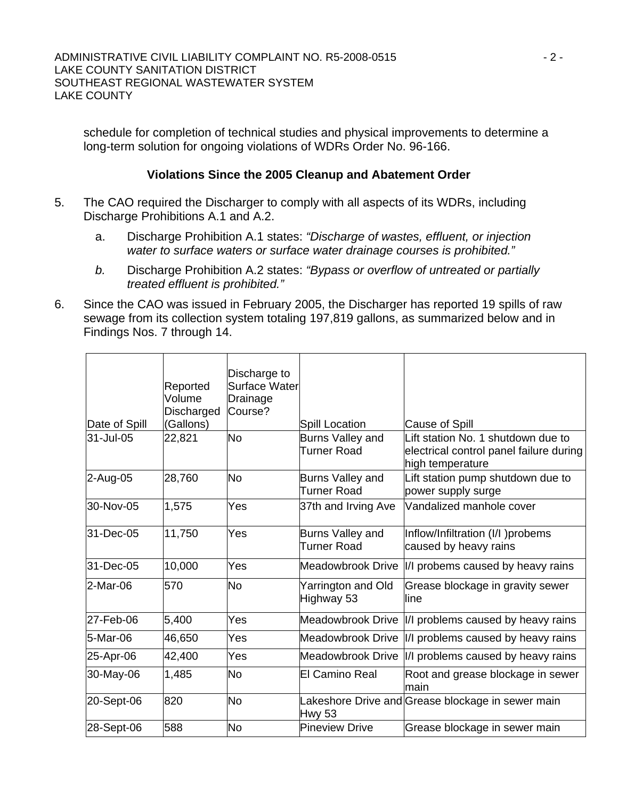schedule for completion of technical studies and physical improvements to determine a long-term solution for ongoing violations of WDRs Order No. 96-166.

## **Violations Since the 2005 Cleanup and Abatement Order**

- 5. The CAO required the Discharger to comply with all aspects of its WDRs, including Discharge Prohibitions A.1 and A.2.
	- a. Discharge Prohibition A.1 states: *"Discharge of wastes, effluent, or injection water to surface waters or surface water drainage courses is prohibited."*
	- *b.* Discharge Prohibition A.2 states: *"Bypass or overflow of untreated or partially treated effluent is prohibited."*
- 6. Since the CAO was issued in February 2005, the Discharger has reported 19 spills of raw sewage from its collection system totaling 197,819 gallons, as summarized below and in Findings Nos. 7 through 14.

| Date of Spill | Reported<br>Volume<br>Discharged<br>(Gallons) | Discharge to<br><b>Surface Water</b><br>Drainage<br>Course? | Spill Location                         | Cause of Spill                                                                                    |
|---------------|-----------------------------------------------|-------------------------------------------------------------|----------------------------------------|---------------------------------------------------------------------------------------------------|
| 31-Jul-05     | 22,821                                        | <b>No</b>                                                   | Burns Valley and<br><b>Turner Road</b> | Lift station No. 1 shutdown due to<br>electrical control panel failure during<br>high temperature |
| 2-Aug-05      | 28,760                                        | <b>No</b>                                                   | Burns Valley and<br>Turner Road        | Lift station pump shutdown due to<br>power supply surge                                           |
| 30-Nov-05     | 1,575                                         | Yes                                                         | 37th and Irving Ave                    | Vandalized manhole cover                                                                          |
| 31-Dec-05     | 11,750                                        | Yes                                                         | Burns Valley and<br>Turner Road        | Inflow/Infiltration (I/I )probems<br>caused by heavy rains                                        |
| 31-Dec-05     | 10,000                                        | Yes                                                         |                                        | Meadowbrook Drive  I/I probems caused by heavy rains                                              |
| 2-Mar-06      | 570                                           | <b>No</b>                                                   | Yarrington and Old<br>Highway 53       | Grease blockage in gravity sewer<br>lline                                                         |
| 27-Feb-06     | 5,400                                         | Yes                                                         |                                        | Meadowbrook Drive  I/I problems caused by heavy rains                                             |
| 5-Mar-06      | 46,650                                        | Yes                                                         |                                        | Meadowbrook Drive  I/I problems caused by heavy rains                                             |
| 25-Apr-06     | 42,400                                        | Yes                                                         |                                        | Meadowbrook Drive  I/I problems caused by heavy rains                                             |
| 30-May-06     | 1,485                                         | No                                                          | <b>El Camino Real</b>                  | Root and grease blockage in sewer<br>main                                                         |
| 20-Sept-06    | 820                                           | <b>No</b>                                                   | <b>Hwy 53</b>                          | Lakeshore Drive and Grease blockage in sewer main                                                 |
| 28-Sept-06    | 588                                           | <b>No</b>                                                   | <b>Pineview Drive</b>                  | Grease blockage in sewer main                                                                     |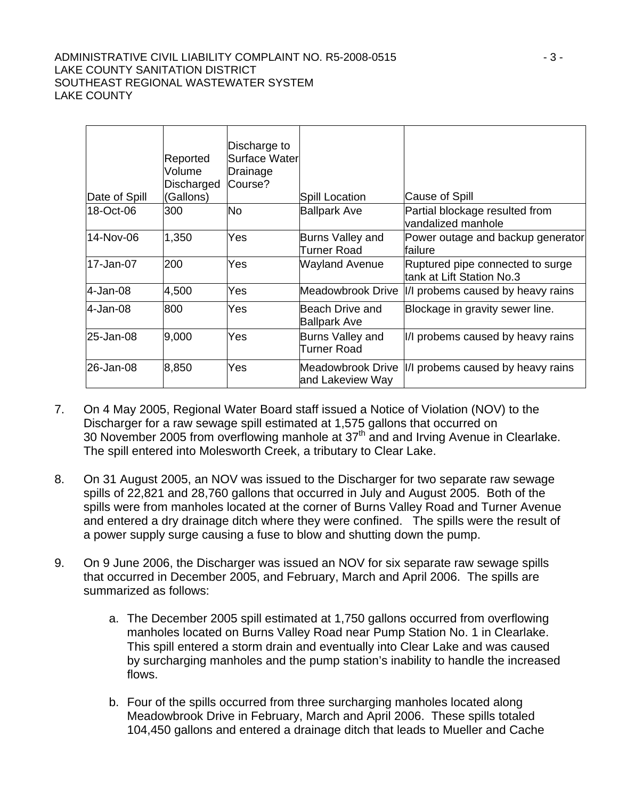#### ADMINISTRATIVE CIVIL LIABILITY COMPLAINT NO. R5-2008-0515 **ADMINISTRATIVE CIVIL LIABILITY COMPLAINT** NO. R5-2008-0515 LAKE COUNTY SANITATION DISTRICT SOUTHEAST REGIONAL WASTEWATER SYSTEM LAKE COUNTY

| Date of Spill | Reported<br>Volume<br>Discharged<br>(Gallons) | Discharge to<br>Surface Water<br>Drainage<br>Course? | Spill Location                         | Cause of Spill                                                 |
|---------------|-----------------------------------------------|------------------------------------------------------|----------------------------------------|----------------------------------------------------------------|
| 18-Oct-06     | 300                                           | <b>No</b>                                            | <b>Ballpark Ave</b>                    | Partial blockage resulted from<br>vandalized manhole           |
| 14-Nov-06     | 1,350                                         | Yes                                                  | Burns Valley and<br>Turner Road        | Power outage and backup generator<br>lfailure                  |
| 17-Jan-07     | 200                                           | Yes                                                  | <b>Wayland Avenue</b>                  | Ruptured pipe connected to surge<br>ltank at Lift Station No.3 |
| l4-Jan-08     | 4,500                                         | Yes                                                  | Meadowbrook Drive                      | II/I probems caused by heavy rains                             |
| l4-Jan-08     | 800                                           | Yes                                                  | Beach Drive and<br><b>Ballpark Ave</b> | Blockage in gravity sewer line.                                |
| 25-Jan-08     | 9,000                                         | Yes                                                  | Burns Valley and<br>Turner Road        | I/I probems caused by heavy rains                              |
| 26-Jan-08     | 8,850                                         | Yes                                                  | Meadowbrook Drive<br>and Lakeview Way  | II/I probems caused by heavy rains                             |

- 7. On 4 May 2005, Regional Water Board staff issued a Notice of Violation (NOV) to the Discharger for a raw sewage spill estimated at 1,575 gallons that occurred on 30 November 2005 from overflowing manhole at  $37<sup>th</sup>$  and and Irving Avenue in Clearlake. The spill entered into Molesworth Creek, a tributary to Clear Lake.
- 8. On 31 August 2005, an NOV was issued to the Discharger for two separate raw sewage spills of 22,821 and 28,760 gallons that occurred in July and August 2005. Both of the spills were from manholes located at the corner of Burns Valley Road and Turner Avenue and entered a dry drainage ditch where they were confined. The spills were the result of a power supply surge causing a fuse to blow and shutting down the pump.
- 9. On 9 June 2006, the Discharger was issued an NOV for six separate raw sewage spills that occurred in December 2005, and February, March and April 2006. The spills are summarized as follows:
	- a. The December 2005 spill estimated at 1,750 gallons occurred from overflowing manholes located on Burns Valley Road near Pump Station No. 1 in Clearlake. This spill entered a storm drain and eventually into Clear Lake and was caused by surcharging manholes and the pump station's inability to handle the increased flows.
	- b. Four of the spills occurred from three surcharging manholes located along Meadowbrook Drive in February, March and April 2006. These spills totaled 104,450 gallons and entered a drainage ditch that leads to Mueller and Cache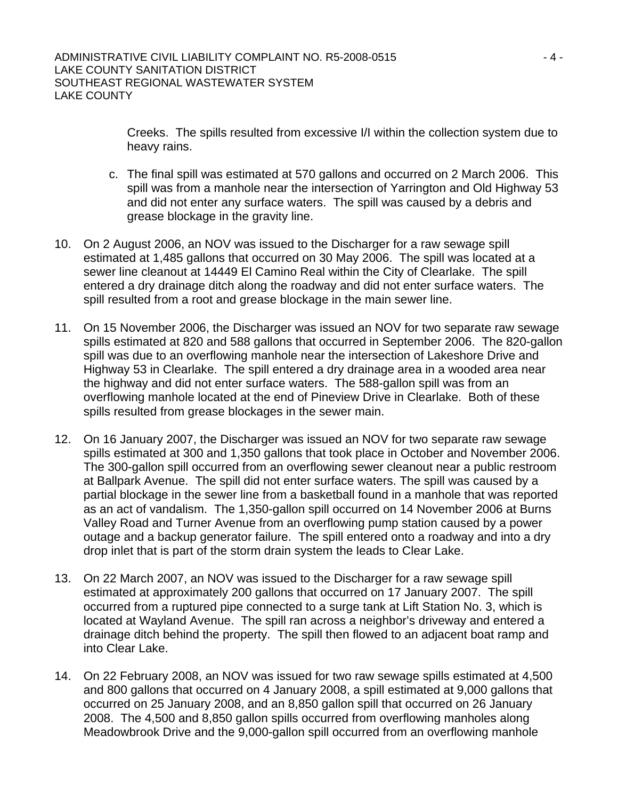Creeks. The spills resulted from excessive I/I within the collection system due to heavy rains.

- c. The final spill was estimated at 570 gallons and occurred on 2 March 2006. This spill was from a manhole near the intersection of Yarrington and Old Highway 53 and did not enter any surface waters. The spill was caused by a debris and grease blockage in the gravity line.
- 10. On 2 August 2006, an NOV was issued to the Discharger for a raw sewage spill estimated at 1,485 gallons that occurred on 30 May 2006. The spill was located at a sewer line cleanout at 14449 El Camino Real within the City of Clearlake. The spill entered a dry drainage ditch along the roadway and did not enter surface waters. The spill resulted from a root and grease blockage in the main sewer line.
- 11. On 15 November 2006, the Discharger was issued an NOV for two separate raw sewage spills estimated at 820 and 588 gallons that occurred in September 2006. The 820-gallon spill was due to an overflowing manhole near the intersection of Lakeshore Drive and Highway 53 in Clearlake. The spill entered a dry drainage area in a wooded area near the highway and did not enter surface waters. The 588-gallon spill was from an overflowing manhole located at the end of Pineview Drive in Clearlake. Both of these spills resulted from grease blockages in the sewer main.
- 12. On 16 January 2007, the Discharger was issued an NOV for two separate raw sewage spills estimated at 300 and 1,350 gallons that took place in October and November 2006. The 300-gallon spill occurred from an overflowing sewer cleanout near a public restroom at Ballpark Avenue. The spill did not enter surface waters. The spill was caused by a partial blockage in the sewer line from a basketball found in a manhole that was reported as an act of vandalism. The 1,350-gallon spill occurred on 14 November 2006 at Burns Valley Road and Turner Avenue from an overflowing pump station caused by a power outage and a backup generator failure. The spill entered onto a roadway and into a dry drop inlet that is part of the storm drain system the leads to Clear Lake.
- 13. On 22 March 2007, an NOV was issued to the Discharger for a raw sewage spill estimated at approximately 200 gallons that occurred on 17 January 2007. The spill occurred from a ruptured pipe connected to a surge tank at Lift Station No. 3, which is located at Wayland Avenue. The spill ran across a neighbor's driveway and entered a drainage ditch behind the property. The spill then flowed to an adjacent boat ramp and into Clear Lake.
- 14. On 22 February 2008, an NOV was issued for two raw sewage spills estimated at 4,500 and 800 gallons that occurred on 4 January 2008, a spill estimated at 9,000 gallons that occurred on 25 January 2008, and an 8,850 gallon spill that occurred on 26 January 2008. The 4,500 and 8,850 gallon spills occurred from overflowing manholes along Meadowbrook Drive and the 9,000-gallon spill occurred from an overflowing manhole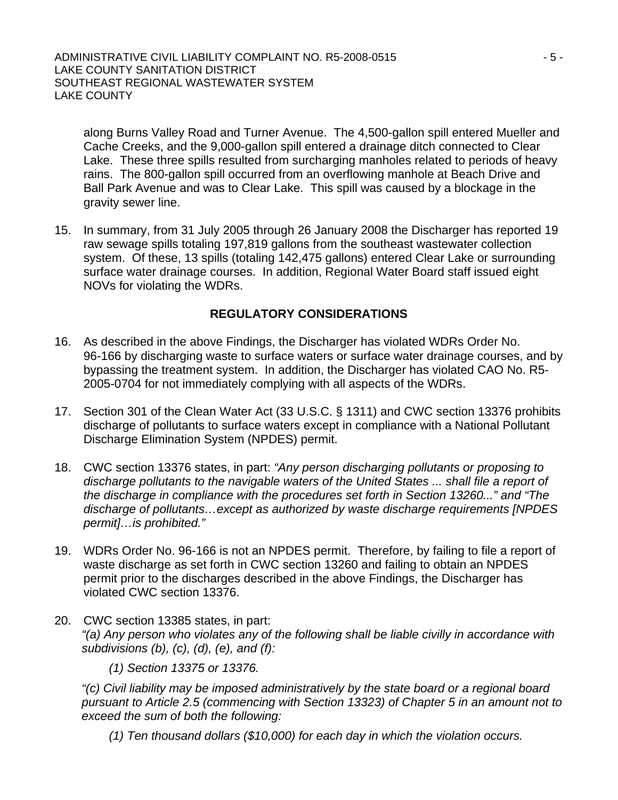along Burns Valley Road and Turner Avenue. The 4,500-gallon spill entered Mueller and Cache Creeks, and the 9,000-gallon spill entered a drainage ditch connected to Clear Lake. These three spills resulted from surcharging manholes related to periods of heavy rains. The 800-gallon spill occurred from an overflowing manhole at Beach Drive and Ball Park Avenue and was to Clear Lake. This spill was caused by a blockage in the gravity sewer line.

15. In summary, from 31 July 2005 through 26 January 2008 the Discharger has reported 19 raw sewage spills totaling 197,819 gallons from the southeast wastewater collection system. Of these, 13 spills (totaling 142,475 gallons) entered Clear Lake or surrounding surface water drainage courses. In addition, Regional Water Board staff issued eight NOVs for violating the WDRs.

## **REGULATORY CONSIDERATIONS**

- 16. As described in the above Findings, the Discharger has violated WDRs Order No. 96-166 by discharging waste to surface waters or surface water drainage courses, and by bypassing the treatment system. In addition, the Discharger has violated CAO No. R5- 2005-0704 for not immediately complying with all aspects of the WDRs.
- 17. Section 301 of the Clean Water Act (33 U.S.C. § 1311) and CWC section 13376 prohibits discharge of pollutants to surface waters except in compliance with a National Pollutant Discharge Elimination System (NPDES) permit.
- 18. CWC section 13376 states, in part: *"Any person discharging pollutants or proposing to discharge pollutants to the navigable waters of the United States ... shall file a report of the discharge in compliance with the procedures set forth in Section 13260..." and "The discharge of pollutants…except as authorized by waste discharge requirements [NPDES permit]…is prohibited."*
- 19. WDRs Order No. 96-166 is not an NPDES permit. Therefore, by failing to file a report of waste discharge as set forth in CWC section 13260 and failing to obtain an NPDES permit prior to the discharges described in the above Findings, the Discharger has violated CWC section 13376.
- 20. CWC section 13385 states, in part: *"(a) Any person who violates any of the following shall be liable civilly in accordance with subdivisions (b), (c), (d), (e), and (f):*

*(1) Section 13375 or 13376.* 

*"(c) Civil liability may be imposed administratively by the state board or a regional board pursuant to Article 2.5 (commencing with Section 13323) of Chapter 5 in an amount not to exceed the sum of both the following:* 

*(1) Ten thousand dollars (\$10,000) for each day in which the violation occurs.*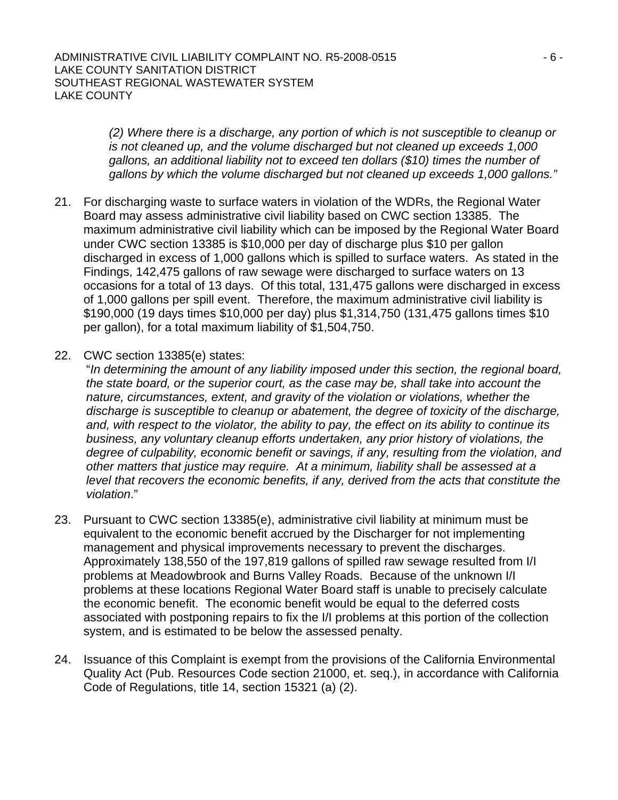*(2) Where there is a discharge, any portion of which is not susceptible to cleanup or is not cleaned up, and the volume discharged but not cleaned up exceeds 1,000 gallons, an additional liability not to exceed ten dollars (\$10) times the number of gallons by which the volume discharged but not cleaned up exceeds 1,000 gallons."*

- 21. For discharging waste to surface waters in violation of the WDRs, the Regional Water Board may assess administrative civil liability based on CWC section 13385. The maximum administrative civil liability which can be imposed by the Regional Water Board under CWC section 13385 is \$10,000 per day of discharge plus \$10 per gallon discharged in excess of 1,000 gallons which is spilled to surface waters. As stated in the Findings, 142,475 gallons of raw sewage were discharged to surface waters on 13 occasions for a total of 13 days. Of this total, 131,475 gallons were discharged in excess of 1,000 gallons per spill event. Therefore, the maximum administrative civil liability is \$190,000 (19 days times \$10,000 per day) plus \$1,314,750 (131,475 gallons times \$10 per gallon), for a total maximum liability of \$1,504,750.
- 22. CWC section 13385(e) states:

"*In determining the amount of any liability imposed under this section, the regional board, the state board, or the superior court, as the case may be, shall take into account the nature, circumstances, extent, and gravity of the violation or violations, whether the discharge is susceptible to cleanup or abatement, the degree of toxicity of the discharge, and, with respect to the violator, the ability to pay, the effect on its ability to continue its business, any voluntary cleanup efforts undertaken, any prior history of violations, the degree of culpability, economic benefit or savings, if any, resulting from the violation, and other matters that justice may require. At a minimum, liability shall be assessed at a level that recovers the economic benefits, if any, derived from the acts that constitute the violation*."

- 23. Pursuant to CWC section 13385(e), administrative civil liability at minimum must be equivalent to the economic benefit accrued by the Discharger for not implementing management and physical improvements necessary to prevent the discharges. Approximately 138,550 of the 197,819 gallons of spilled raw sewage resulted from I/I problems at Meadowbrook and Burns Valley Roads. Because of the unknown I/I problems at these locations Regional Water Board staff is unable to precisely calculate the economic benefit. The economic benefit would be equal to the deferred costs associated with postponing repairs to fix the I/I problems at this portion of the collection system, and is estimated to be below the assessed penalty.
- 24. Issuance of this Complaint is exempt from the provisions of the California Environmental Quality Act (Pub. Resources Code section 21000, et. seq.), in accordance with California Code of Regulations, title 14, section 15321 (a) (2).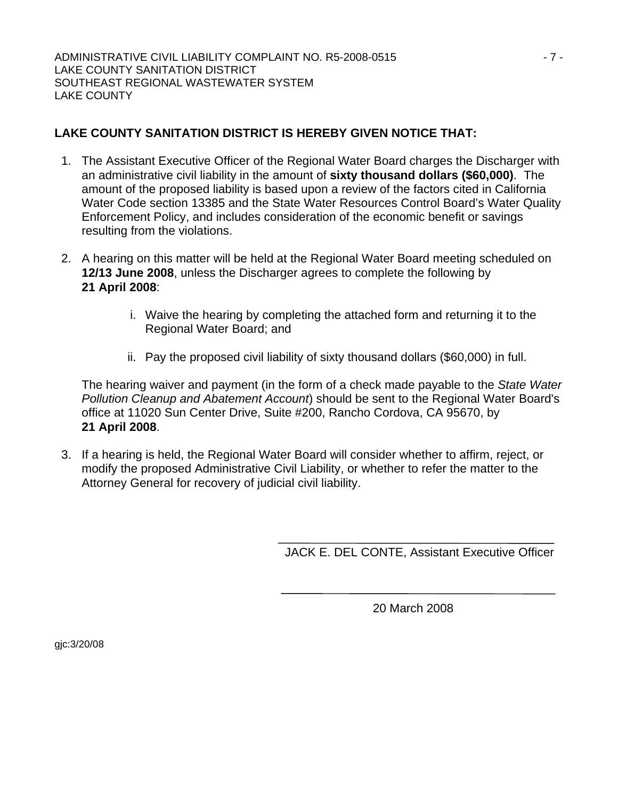# **LAKE COUNTY SANITATION DISTRICT IS HEREBY GIVEN NOTICE THAT:**

- 1. The Assistant Executive Officer of the Regional Water Board charges the Discharger with an administrative civil liability in the amount of **sixty thousand dollars (\$60,000)**. The amount of the proposed liability is based upon a review of the factors cited in California Water Code section 13385 and the State Water Resources Control Board's Water Quality Enforcement Policy, and includes consideration of the economic benefit or savings resulting from the violations.
- 2. A hearing on this matter will be held at the Regional Water Board meeting scheduled on **12/13 June 2008**, unless the Discharger agrees to complete the following by **21 April 2008**:
	- i. Waive the hearing by completing the attached form and returning it to the Regional Water Board; and
	- ii. Pay the proposed civil liability of sixty thousand dollars (\$60,000) in full.

The hearing waiver and payment (in the form of a check made payable to the *State Water Pollution Cleanup and Abatement Account*) should be sent to the Regional Water Board's office at 11020 Sun Center Drive, Suite #200, Rancho Cordova, CA 95670, by **21 April 2008**.

3. If a hearing is held, the Regional Water Board will consider whether to affirm, reject, or modify the proposed Administrative Civil Liability, or whether to refer the matter to the Attorney General for recovery of judicial civil liability.

JACK E. DEL CONTE, Assistant Executive Officer

20 March 2008

gjc:3/20/08